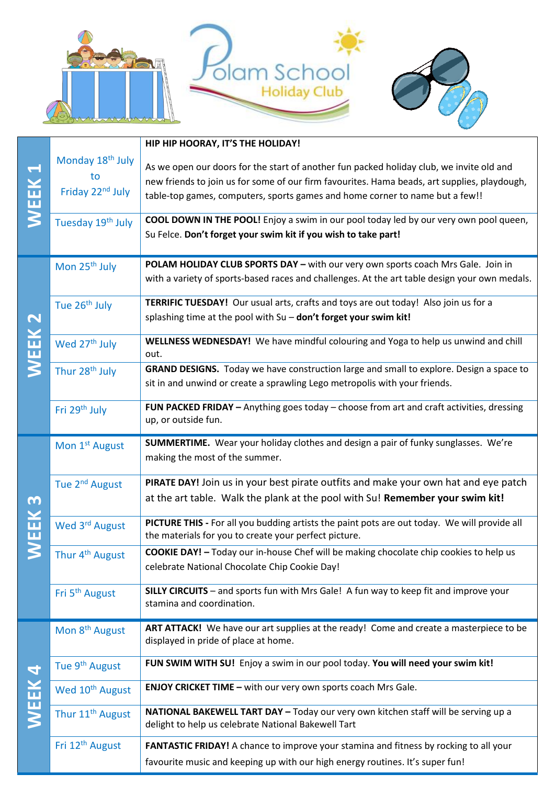

|                                   |                              | HIP HIP HOORAY, IT'S THE HOLIDAY!                                                             |
|-----------------------------------|------------------------------|-----------------------------------------------------------------------------------------------|
| WEEK                              | Monday 18 <sup>th</sup> July |                                                                                               |
|                                   | to                           | As we open our doors for the start of another fun packed holiday club, we invite old and      |
|                                   | Friday 22 <sup>nd</sup> July | new friends to join us for some of our firm favourites. Hama beads, art supplies, playdough,  |
|                                   |                              | table-top games, computers, sports games and home corner to name but a few!!                  |
|                                   | Tuesday 19th July            | COOL DOWN IN THE POOL! Enjoy a swim in our pool today led by our very own pool queen,         |
|                                   |                              | Su Felce. Don't forget your swim kit if you wish to take part!                                |
|                                   |                              |                                                                                               |
| $\mathbf{\Omega}$<br><b>MEEK</b>  | Mon 25 <sup>th</sup> July    | POLAM HOLIDAY CLUB SPORTS DAY - with our very own sports coach Mrs Gale. Join in              |
|                                   |                              | with a variety of sports-based races and challenges. At the art table design your own medals. |
|                                   | Tue 26 <sup>th</sup> July    | TERRIFIC TUESDAY! Our usual arts, crafts and toys are out today! Also join us for a           |
|                                   |                              | splashing time at the pool with Su - don't forget your swim kit!                              |
|                                   | Wed 27 <sup>th</sup> July    | WELLNESS WEDNESDAY! We have mindful colouring and Yoga to help us unwind and chill            |
|                                   |                              | out.                                                                                          |
|                                   | Thur 28 <sup>th</sup> July   | GRAND DESIGNS. Today we have construction large and small to explore. Design a space to       |
|                                   |                              | sit in and unwind or create a sprawling Lego metropolis with your friends.                    |
|                                   | Fri 29 <sup>th</sup> July    | FUN PACKED FRIDAY - Anything goes today - choose from art and craft activities, dressing      |
|                                   |                              | up, or outside fun.                                                                           |
| m<br>$\overline{\mathbf{u}}$<br>m | Mon 1 <sup>st</sup> August   | SUMMERTIME. Wear your holiday clothes and design a pair of funky sunglasses. We're            |
|                                   |                              | making the most of the summer.                                                                |
|                                   | Tue 2 <sup>nd</sup> August   | PIRATE DAY! Join us in your best pirate outfits and make your own hat and eye patch           |
|                                   |                              | at the art table. Walk the plank at the pool with Su! Remember your swim kit!                 |
|                                   |                              |                                                                                               |
|                                   | Wed 3rd August               | PICTURE THIS - For all you budding artists the paint pots are out today. We will provide all  |
|                                   |                              | the materials for you to create your perfect picture.                                         |
|                                   | Thur 4 <sup>th</sup> August  | <b>COOKIE DAY!</b> - Today our in-house Chef will be making chocolate chip cookies to help us |
|                                   |                              | celebrate National Chocolate Chip Cookie Day!                                                 |
|                                   | Fri 5 <sup>th</sup> August   | SILLY CIRCUITS - and sports fun with Mrs Gale! A fun way to keep fit and improve your         |
|                                   |                              | stamina and coordination.                                                                     |
| $\mathbf 4$<br><b>WEEK</b>        | Mon 8 <sup>th</sup> August   | ART ATTACK! We have our art supplies at the ready! Come and create a masterpiece to be        |
|                                   |                              | displayed in pride of place at home.                                                          |
|                                   | Tue 9 <sup>th</sup> August   | FUN SWIM WITH SU! Enjoy a swim in our pool today. You will need your swim kit!                |
|                                   |                              |                                                                                               |
|                                   | Wed 10 <sup>th</sup> August  | <b>ENJOY CRICKET TIME - with our very own sports coach Mrs Gale.</b>                          |
|                                   | Thur 11 <sup>th</sup> August | NATIONAL BAKEWELL TART DAY - Today our very own kitchen staff will be serving up a            |
|                                   |                              | delight to help us celebrate National Bakewell Tart                                           |
|                                   | Fri 12 <sup>th</sup> August  | FANTASTIC FRIDAY! A chance to improve your stamina and fitness by rocking to all your         |
|                                   |                              | favourite music and keeping up with our high energy routines. It's super fun!                 |